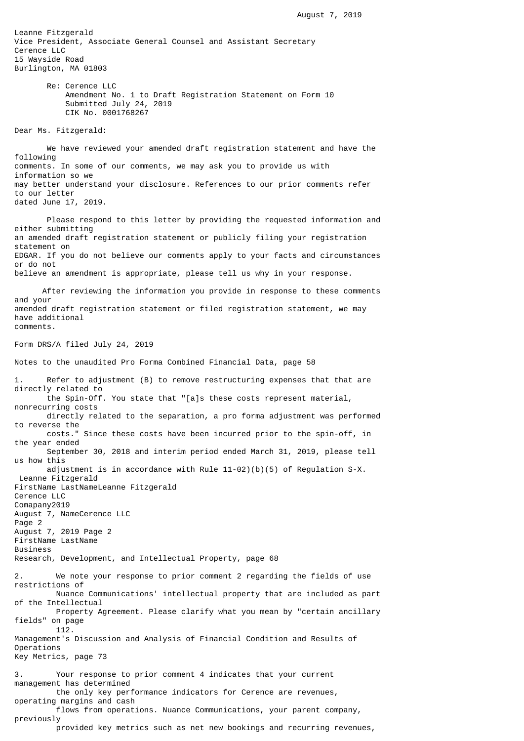Leanne Fitzgerald Vice President, Associate General Counsel and Assistant Secretary Cerence LLC 15 Wayside Road Burlington, MA 01803 Re: Cerence LLC Amendment No. 1 to Draft Registration Statement on Form 10 Submitted July 24, 2019 CIK No. 0001768267 Dear Ms. Fitzgerald: We have reviewed your amended draft registration statement and have the following comments. In some of our comments, we may ask you to provide us with information so we may better understand your disclosure. References to our prior comments refer to our letter dated June 17, 2019. Please respond to this letter by providing the requested information and either submitting an amended draft registration statement or publicly filing your registration statement on

EDGAR. If you do not believe our comments apply to your facts and circumstances or do not believe an amendment is appropriate, please tell us why in your response.

 After reviewing the information you provide in response to these comments and your amended draft registration statement or filed registration statement, we may have additional comments.

## Form DRS/A filed July 24, 2019

Notes to the unaudited Pro Forma Combined Financial Data, page 58

1. Refer to adjustment (B) to remove restructuring expenses that that are directly related to the Spin-Off. You state that "[a]s these costs represent material, nonrecurring costs directly related to the separation, a pro forma adjustment was performed to reverse the costs." Since these costs have been incurred prior to the spin-off, in the year ended September 30, 2018 and interim period ended March 31, 2019, please tell us how this adjustment is in accordance with Rule 11-02)(b)(5) of Regulation S-X. Leanne Fitzgerald FirstName LastNameLeanne Fitzgerald Cerence LLC Comapany2019 August 7, NameCerence LLC Page 2 August 7, 2019 Page 2 FirstName LastName Business Research, Development, and Intellectual Property, page 68 2. We note your response to prior comment 2 regarding the fields of use restrictions of Nuance Communications' intellectual property that are included as part of the Intellectual Property Agreement. Please clarify what you mean by "certain ancillary fields" on page 112. Management's Discussion and Analysis of Financial Condition and Results of Operations Key Metrics, page 73 3. Your response to prior comment 4 indicates that your current management has determined the only key performance indicators for Cerence are revenues, operating margins and cash flows from operations. Nuance Communications, your parent company, previously provided key metrics such as net new bookings and recurring revenues,